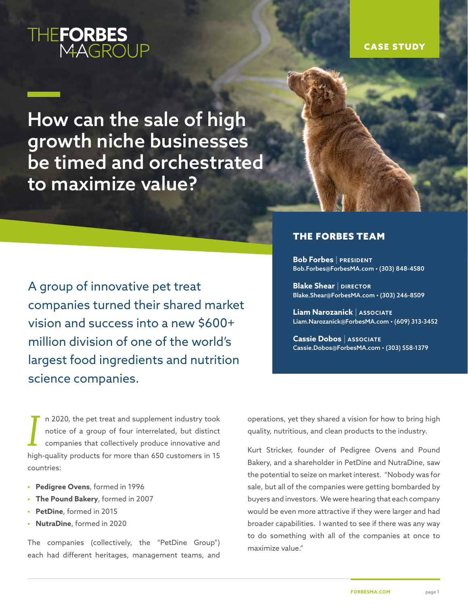# THE**FORBES**<br>MAGROUP

#### CASE STUDY

How can the sale of high growth niche businesses be timed and orchestrated to maximize value?

A group of innovative pet treat companies turned their shared market vision and success into a new \$600+ million division of one of the world's largest food ingredients and nutrition science companies.

#### THE FORBES TEAM

**Bob Forbes | PRESIDENT** Bob.Forbes@ForbesMA.com • (303) 848-4580

**Blake Shear | DIRECTOR** Blake.Shear@ForbesMA.com • (303) 246-8509

**Liam Narozanick | ASSOCIATE** Liam.Narozanick@ForbesMA.com • (609) 313-3452

**Cassie Dobos | ASSOCIATE** Cassie.Dobos@ForbesMA.com • (303) 558-1379

*I* n 2020, the pet treat and supplement industry took notice of a group of four interrelated, but distinct companies that collectively produce innovative and high-quality products for more than 650 customers in 15 countries:

- **• Pedigree Ovens**, formed in 1996
- **• The Pound Bakery**, formed in 2007
- **• PetDine**, formed in 2015
- **• NutraDine**, formed in 2020

The companies (collectively, the "PetDine Group") each had different heritages, management teams, and operations, yet they shared a vision for how to bring high quality, nutritious, and clean products to the industry.

Kurt Stricker, founder of Pedigree Ovens and Pound Bakery, and a shareholder in PetDine and NutraDine, saw the potential to seize on market interest. "Nobody was for sale, but all of the companies were getting bombarded by buyers and investors. We were hearing that each company would be even more attractive if they were larger and had broader capabilities. I wanted to see if there was any way to do something with all of the companies at once to maximize value."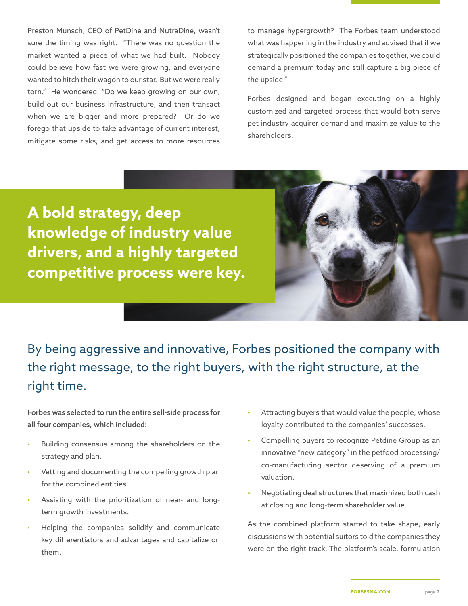Preston Munsch, CEO of PetDine and NutraDine, wasn't sure the timing was right. "There was no question the market wanted a piece of what we had built. Nobody could believe how fast we were growing, and everyone wanted to hitch their wagon to our star. But we were really torn." He wondered, "Do we keep growing on our own, build out our business infrastructure, and then transact when we are bigger and more prepared? Or do we forego that upside to take advantage of current interest, mitigate some risks, and get access to more resources

to manage hypergrowth? The Forbes team understood what was happening in the industry and advised that if we strategically positioned the companies together, we could demand a premium today and still capture a big piece of the upside."

Forbes designed and began executing on a highly customized and targeted process that would both serve pet industry acquirer demand and maximize value to the shareholders.

**A bold strategy, deep knowledge of industry value drivers, and a highly targeted competitive process were key.**



By being aggressive and innovative, Forbes positioned the company with the right message, to the right buyers, with the right structure, at the right time.

Forbes was selected to run the entire sell-side process for all four companies, which included:

- Building consensus among the shareholders on the strategy and plan.
- Vetting and documenting the compelling growth plan for the combined entities.
- Assisting with the prioritization of near- and longterm growth investments.
- Helping the companies solidify and communicate key differentiators and advantages and capitalize on them.
- Attracting buyers that would value the people, whose loyalty contributed to the companies' successes.
- Compelling buyers to recognize Petdine Group as an innovative "new category" in the petfood processing/ co-manufacturing sector deserving of a premium valuation.
- Negotiating deal structures that maximized both cash at closing and long-term shareholder value.

As the combined platform started to take shape, early discussions with potential suitors told the companies they were on the right track. The platform's scale, formulation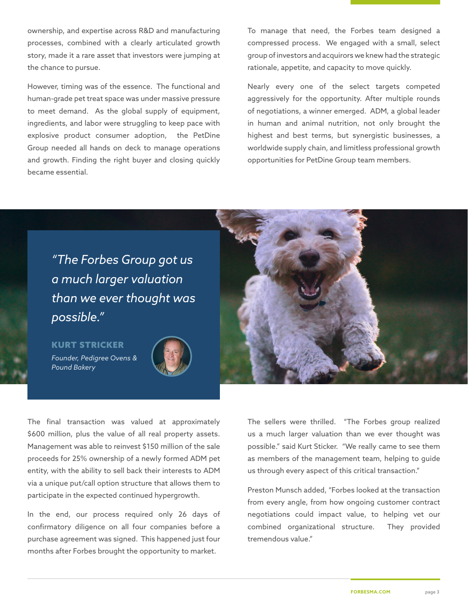ownership, and expertise across R&D and manufacturing processes, combined with a clearly articulated growth story, made it a rare asset that investors were jumping at the chance to pursue.

However, timing was of the essence. The functional and human-grade pet treat space was under massive pressure to meet demand. As the global supply of equipment, ingredients, and labor were struggling to keep pace with explosive product consumer adoption, the PetDine Group needed all hands on deck to manage operations and growth. Finding the right buyer and closing quickly became essential.

To manage that need, the Forbes team designed a compressed process. We engaged with a small, select group of investors and acquirors we knew had the strategic rationale, appetite, and capacity to move quickly.

Nearly every one of the select targets competed aggressively for the opportunity. After multiple rounds of negotiations, a winner emerged. ADM, a global leader in human and animal nutrition, not only brought the highest and best terms, but synergistic businesses, a worldwide supply chain, and limitless professional growth opportunities for PetDine Group team members.

*"The Forbes Group got us a much larger valuation than we ever thought was possible."* 

KURT STRICKER *Founder, Pedigree Ovens & Pound Bakery*



The final transaction was valued at approximately \$600 million, plus the value of all real property assets. Management was able to reinvest \$150 million of the sale proceeds for 25% ownership of a newly formed ADM pet entity, with the ability to sell back their interests to ADM via a unique put/call option structure that allows them to participate in the expected continued hypergrowth.

In the end, our process required only 26 days of confirmatory diligence on all four companies before a purchase agreement was signed. This happened just four months after Forbes brought the opportunity to market.

The sellers were thrilled. "The Forbes group realized us a much larger valuation than we ever thought was possible." said Kurt Sticker. "We really came to see them as members of the management team, helping to guide us through every aspect of this critical transaction."

Preston Munsch added, "Forbes looked at the transaction from every angle, from how ongoing customer contract negotiations could impact value, to helping vet our combined organizational structure. They provided tremendous value."